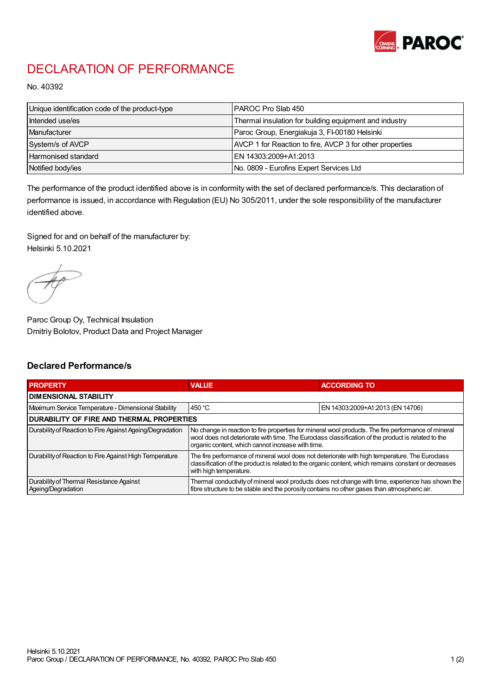

## DECLARATION OF PERFORMANCE

No. 40392

| Unique identification code of the product-type | IPAROC Pro Slab 450                                      |
|------------------------------------------------|----------------------------------------------------------|
| Intended use/es                                | Thermal insulation for building equipment and industry   |
| Manufacturer                                   | Paroc Group, Energiakuja 3, FI-00180 Helsinki            |
| System/s of AVCP                               | AVCP 1 for Reaction to fire, AVCP 3 for other properties |
| Harmonised standard                            | IEN 14303:2009+A1:2013                                   |
| Notified body/ies                              | No. 0809 - Eurofins Expert Services Ltd                  |

The performance of the product identified above is in conformity with the set of declared performance/s. This declaration of performance is issued, in accordance with Regulation (EU) No 305/2011, under the sole responsibility of the manufacturer identified above.

Signed for and on behalf of the manufacturer by: Helsinki 5.10.2021

Paroc Group Oy, Technical Insulation Dmitriy Bolotov, Product Data and Project Manager

## Declared Performance/s

| <b>PROPERTY</b>                                                | <b>VALUE</b>                                                                                                                                                                                                                                                   | <b>ACCORDING TO.</b>             |  |
|----------------------------------------------------------------|----------------------------------------------------------------------------------------------------------------------------------------------------------------------------------------------------------------------------------------------------------------|----------------------------------|--|
| <b>DIMENSIONAL STABILITY</b>                                   |                                                                                                                                                                                                                                                                |                                  |  |
| Maximum Service Temperature - Dimensional Stability            | 450 $^{\circ}$ C                                                                                                                                                                                                                                               | EN 14303:2009+A1:2013 (EN 14706) |  |
| <b>DURABILITY OF FIRE AND THERMAL PROPERTIES</b>               |                                                                                                                                                                                                                                                                |                                  |  |
| Durability of Reaction to Fire Against Ageing/Degradation      | No change in reaction to fire properties for mineral wool products. The fire performance of mineral<br>wool does not deteriorate with time. The Euroclass classification of the product is related to the<br>organic content, which cannot increase with time. |                                  |  |
| Durability of Reaction to Fire Against High Temperature        | The fire performance of mineral wool does not deteriorate with high temperature. The Euroclass<br>classification of the product is related to the organic content, which remains constant or decreases<br>with high temperature.                               |                                  |  |
| Durability of Thermal Resistance Against<br>Ageing/Degradation | Thermal conductivity of mineral wool products does not change with time, experience has shown the<br>fibre structure to be stable and the porosity contains no other gases than atmospheric air.                                                               |                                  |  |